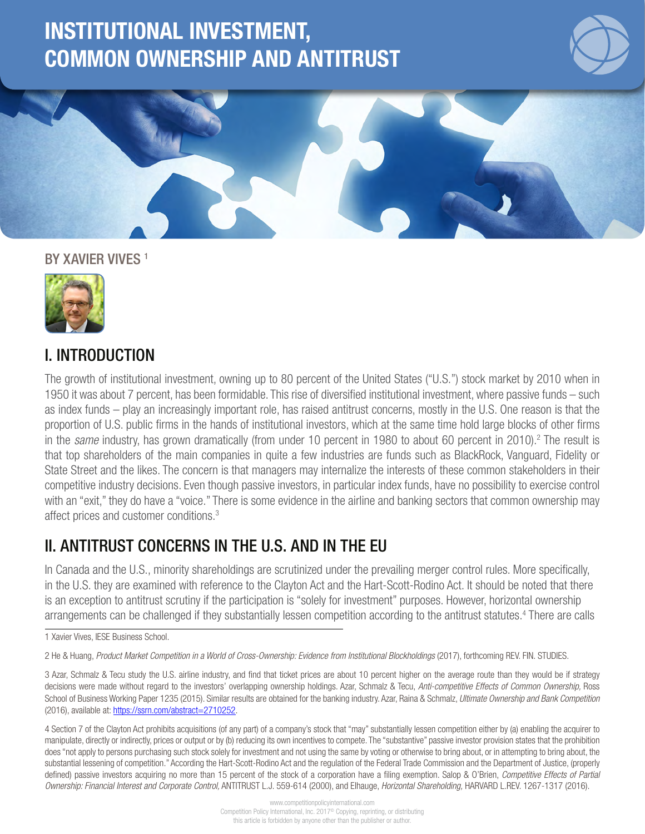# INSTITUTIONAL INVESTMENT, COMMON OWNERSHIP AND ANTITRUST



1

#### BY XAVIER VIVES<sup>1</sup>



# I. INTRODUCTION

The growth of institutional investment, owning up to 80 percent of the United States ("U.S.") stock market by 2010 when in 1950 it was about 7 percent, has been formidable. This rise of diversified institutional investment, where passive funds – such as index funds – play an increasingly important role, has raised antitrust concerns, mostly in the U.S. One reason is that the proportion of U.S. public firms in the hands of institutional investors, which at the same time hold large blocks of other firms in the *same* industry, has grown dramatically (from under 10 percent in 1980 to about 60 percent in 2010).<sup>2</sup> The result is that top shareholders of the main companies in quite a few industries are funds such as BlackRock, Vanguard, Fidelity or State Street and the likes. The concern is that managers may internalize the interests of these common stakeholders in their competitive industry decisions. Even though passive investors, in particular index funds, have no possibility to exercise control with an "exit," they do have a "voice." There is some evidence in the airline and banking sectors that common ownership may affect prices and customer conditions.3

## II. ANTITRUST CONCERNS IN THE U.S. AND IN THE EU

In Canada and the U.S., minority shareholdings are scrutinized under the prevailing merger control rules. More specifically, in the U.S. they are examined with reference to the Clayton Act and the Hart-Scott-Rodino Act. It should be noted that there is an exception to antitrust scrutiny if the participation is "solely for investment" purposes. However, horizontal ownership arrangements can be challenged if they substantially lessen competition according to the antitrust statutes.<sup>4</sup> There are calls

2 He & Huang, *Product Market Competition in a World of Cross-Ownership: Evidence from Institutional Blockholdings* (2017), forthcoming REV. FIN. STUDIES.

4 Section 7 of the Clayton Act prohibits acquisitions (of any part) of a company's stock that "may" substantially lessen competition either by (a) enabling the acquirer to manipulate, directly or indirectly, prices or output or by (b) reducing its own incentives to compete. The "substantive" passive investor provision states that the prohibition does "not apply to persons purchasing such stock solely for investment and not using the same by voting or otherwise to bring about, or in attempting to bring about, the substantial lessening of competition." According the Hart-Scott-Rodino Act and the regulation of the Federal Trade Commission and the Department of Justice, (properly defined) passive investors acquiring no more than 15 percent of the stock of a corporation have a filing exemption. Salop & O'Brien, *Competitive Effects of Partial Ownership: Financial Interest and Corporate Control,* ANTITRUST L.J. 559-614 (2000), and Elhauge, *Horizontal Shareholding,* HARVARD L.REV. 1267-1317 (2016).

<sup>1</sup> Xavier Vives, IESE Business School.

<sup>3</sup> Azar, Schmalz & Tecu study the U.S. airline industry, and find that ticket prices are about 10 percent higher on the average route than they would be if strategy decisions were made without regard to the investors' overlapping ownership holdings. Azar, Schmalz & Tecu, *Anti-competitive Effects of Common Ownership,* Ross School of Business Working Paper 1235 (2015). Similar results are obtained for the banking industry. Azar, Raina & Schmalz, *Ultimate Ownership and Bank Competition* (2016), available at: [https://ssrn.com/abstract=2710252.](https://ssrn.com/abstract=2710252)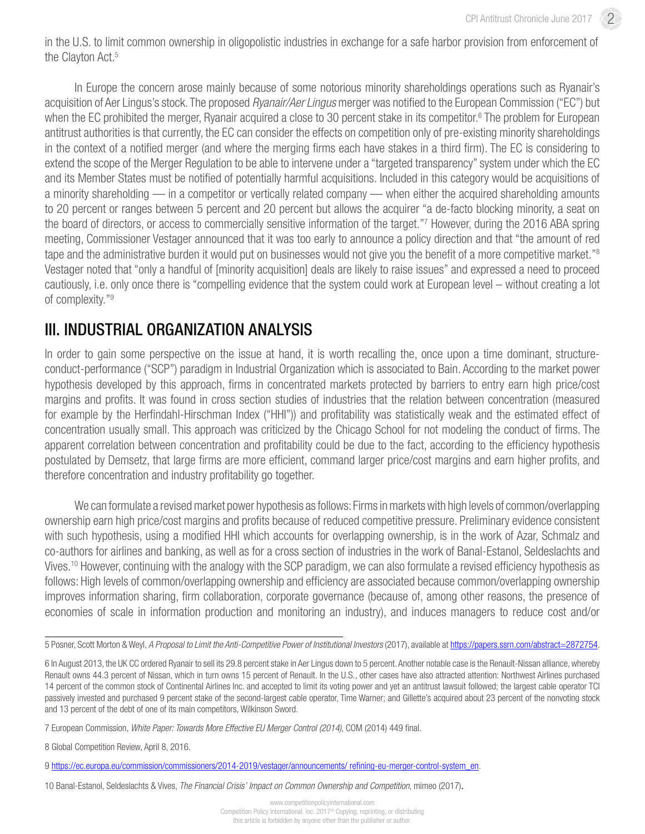in the U.S. to limit common ownership in oligopolistic industries in exchange for a safe harbor provision from enforcement of the Clayton Act.<sup>5</sup>

In Europe the concern arose mainly because of some notorious minority shareholdings operations such as Ryanair's acquisition of Aer Lingus's stock. The proposed *Ryanair/Aer Lingus* merger was notified to the European Commission ("EC") but when the EC prohibited the merger, Ryanair acquired a close to 30 percent stake in its competitor.<sup>6</sup> The problem for European antitrust authorities is that currently, the EC can consider the effects on competition only of pre-existing minority shareholdings in the context of a notified merger (and where the merging firms each have stakes in a third firm). The EC is considering to extend the scope of the Merger Regulation to be able to intervene under a "targeted transparency" system under which the EC and its Member States must be notified of potentially harmful acquisitions. Included in this category would be acquisitions of a minority shareholding — in a competitor or vertically related company — when either the acquired shareholding amounts to 20 percent or ranges between 5 percent and 20 percent but allows the acquirer "a de-facto blocking minority, a seat on the board of directors, or access to commercially sensitive information of the target."7 However, during the 2016 ABA spring meeting, Commissioner Vestager announced that it was too early to announce a policy direction and that "the amount of red tape and the administrative burden it would put on businesses would not give you the benefit of a more competitive market."<sup>8</sup> Vestager noted that "only a handful of [minority acquisition] deals are likely to raise issues" and expressed a need to proceed cautiously, i.e. only once there is "compelling evidence that the system could work at European level – without creating a lot of complexity."9

#### III. INDUSTRIAL ORGANIZATION ANALYSIS

In order to gain some perspective on the issue at hand, it is worth recalling the, once upon a time dominant, structureconduct-performance ("SCP") paradigm in Industrial Organization which is associated to Bain. According to the market power hypothesis developed by this approach, firms in concentrated markets protected by barriers to entry earn high price/cost margins and profits. It was found in cross section studies of industries that the relation between concentration (measured for example by the Herfindahl-Hirschman Index ("HHI")) and profitability was statistically weak and the estimated effect of concentration usually small. This approach was criticized by the Chicago School for not modeling the conduct of firms. The apparent correlation between concentration and profitability could be due to the fact, according to the efficiency hypothesis postulated by Demsetz, that large firms are more efficient, command larger price/cost margins and earn higher profits, and therefore concentration and industry profitability go together.

We can formulate a revised market power hypothesis as follows: Firms in markets with high levels of common/overlapping ownership earn high price/cost margins and profits because of reduced competitive pressure. Preliminary evidence consistent with such hypothesis, using a modified HHI which accounts for overlapping ownership, is in the work of Azar, Schmalz and co-authors for airlines and banking, as well as for a cross section of industries in the work of Banal-Estanol, Seldeslachts and Vives.10 However, continuing with the analogy with the SCP paradigm, we can also formulate a revised efficiency hypothesis as follows: High levels of common/overlapping ownership and efficiency are associated because common/overlapping ownership improves information sharing, firm collaboration, corporate governance (because of, among other reasons, the presence of economies of scale in information production and monitoring an industry), and induces managers to reduce cost and/or

8 Global Competition Review, April 8, 2016.

<sup>5</sup> Posner, Scott Morton & Weyl, *A Proposal to Limit the Anti-Competitive Power of Institutional Investors* (2017), available at https://papers.ssrn.com/abstract=2872754.

<sup>6</sup> In August 2013, the UK CC ordered Ryanair to sell its 29.8 percent stake in Aer Lingus down to 5 percent. Another notable case is the Renault-Nissan alliance, whereby Renault owns 44.3 percent of Nissan, which in turn owns 15 percent of Renault. In the U.S., other cases have also attracted attention: Northwest Airlines purchased 14 percent of the common stock of Continental Airlines Inc. and accepted to limit its voting power and yet an antitrust lawsuit followed; the largest cable operator TCI passively invested and purchased 9 percent stake of the second-largest cable operator, Time Warner; and Gillette's acquired about 23 percent of the nonvoting stock and 13 percent of the debt of one of its main competitors, Wilkinson Sword.

<sup>7</sup> European Commission, *White Paper: Towards More Effective EU Merger Control (2014)*, COM (2014) 449 final.

<sup>9</sup> [https://ec.europa.eu/commission/commissioners/2014-2019/vestager/announcements/ refining-eu-merger-control-system\\_en.](https://ec.europa.eu/commission/commissioners/2014-2019/vestager/announcements/ refining-eu-merger-control-system_en)

<sup>10</sup> Banal-Estanol, Seldeslachts & Vives, *The Financial Crisis' Impact on Common Ownership and Competition*, mimeo (2017).